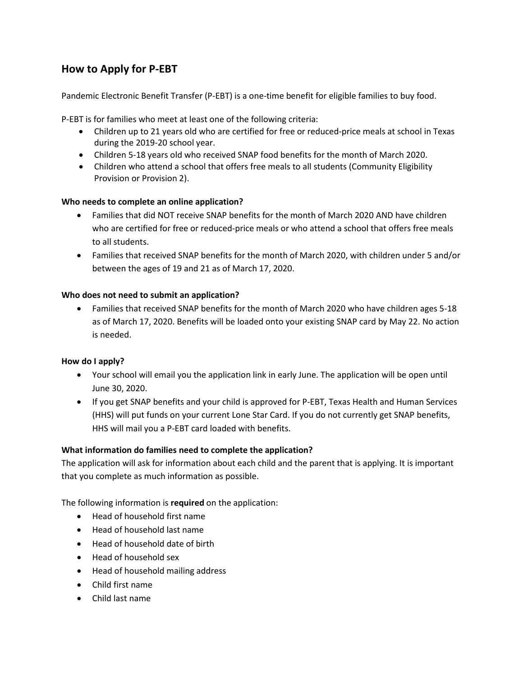# **How to Apply for P-EBT**

Pandemic Electronic Benefit Transfer (P-EBT) is a one-time benefit for eligible families to buy food.

P-EBT is for families who meet at least one of the following criteria:

- Children up to 21 years old who are certified for free or reduced-price meals at school in Texas during the 2019-20 school year.
- Children 5-18 years old who received SNAP food benefits for the month of March 2020.
- Children who attend a school that offers free meals to all students (Community Eligibility Provision or Provision 2).

# **Who needs to complete an online application?**

- Families that did NOT receive SNAP benefits for the month of March 2020 AND have children who are certified for free or reduced-price meals or who attend a school that offers free meals to all students.
- Families that received SNAP benefits for the month of March 2020, with children under 5 and/or between the ages of 19 and 21 as of March 17, 2020.

# **Who does not need to submit an application?**

• Families that received SNAP benefits for the month of March 2020 who have children ages 5-18 as of March 17, 2020. Benefits will be loaded onto your existing SNAP card by May 22. No action is needed.

# **How do I apply?**

- Your school will email you the application link in early June. The application will be open until June 30, 2020.
- If you get SNAP benefits and your child is approved for P-EBT, Texas Health and Human Services (HHS) will put funds on your current Lone Star Card. If you do not currently get SNAP benefits, HHS will mail you a P-EBT card loaded with benefits.

#### **What information do families need to complete the application?**

The application will ask for information about each child and the parent that is applying. It is important that you complete as much information as possible.

The following information is **required** on the application:

- Head of household first name
- Head of household last name
- Head of household date of birth
- Head of household sex
- Head of household mailing address
- Child first name
- Child last name